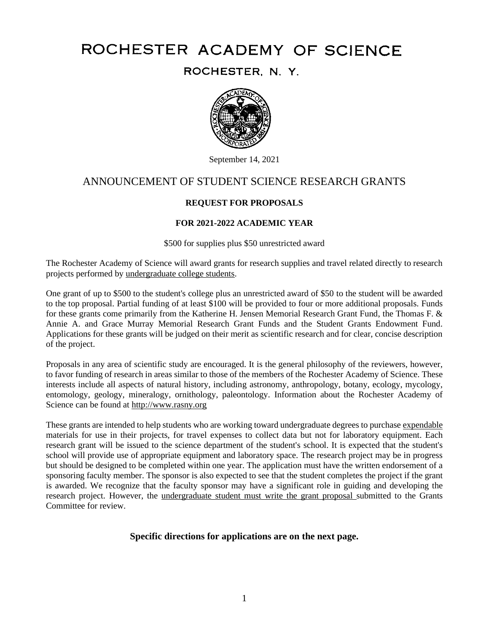# ROCHESTER ACADEMY OF SCIENCE

ROCHESTER, N. Y.



September 14, 2021

# ANNOUNCEMENT OF STUDENT SCIENCE RESEARCH GRANTS

# **REQUEST FOR PROPOSALS**

# **FOR 2021-2022 ACADEMIC YEAR**

\$500 for supplies plus \$50 unrestricted award

The Rochester Academy of Science will award grants for research supplies and travel related directly to research projects performed by undergraduate college students.

One grant of up to \$500 to the student's college plus an unrestricted award of \$50 to the student will be awarded to the top proposal. Partial funding of at least \$100 will be provided to four or more additional proposals. Funds for these grants come primarily from the Katherine H. Jensen Memorial Research Grant Fund, the Thomas F. & Annie A. and Grace Murray Memorial Research Grant Funds and the Student Grants Endowment Fund. Applications for these grants will be judged on their merit as scientific research and for clear, concise description of the project.

Proposals in any area of scientific study are encouraged. It is the general philosophy of the reviewers, however, to favor funding of research in areas similar to those of the members of the Rochester Academy of Science. These interests include all aspects of natural history, including astronomy, anthropology, botany, ecology, mycology, entomology, geology, mineralogy, ornithology, paleontology. Information about the Rochester Academy of Science can be found at http://www.rasny.org

These grants are intended to help students who are working toward undergraduate degrees to purchase expendable materials for use in their projects, for travel expenses to collect data but not for laboratory equipment. Each research grant will be issued to the science department of the student's school. It is expected that the student's school will provide use of appropriate equipment and laboratory space. The research project may be in progress but should be designed to be completed within one year. The application must have the written endorsement of a sponsoring faculty member. The sponsor is also expected to see that the student completes the project if the grant is awarded. We recognize that the faculty sponsor may have a significant role in guiding and developing the research project. However, the undergraduate student must write the grant proposal submitted to the Grants Committee for review.

# **Specific directions for applications are on the next page.**